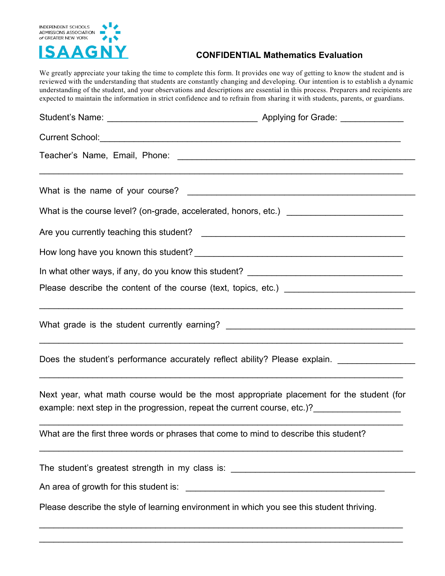

## **CONFIDENTIAL Mathematics Evaluation**

We greatly appreciate your taking the time to complete this form. It provides one way of getting to know the student and is reviewed with the understanding that students are constantly changing and developing. Our intention is to establish a dynamic understanding of the student, and your observations and descriptions are essential in this process. Preparers and recipients are expected to maintain the information in strict confidence and to refrain from sharing it with students, parents, or guardians.

| What is the course level? (on-grade, accelerated, honors, etc.) _______________________                                                                              |                                                                                                      |
|----------------------------------------------------------------------------------------------------------------------------------------------------------------------|------------------------------------------------------------------------------------------------------|
|                                                                                                                                                                      |                                                                                                      |
|                                                                                                                                                                      |                                                                                                      |
|                                                                                                                                                                      |                                                                                                      |
|                                                                                                                                                                      |                                                                                                      |
|                                                                                                                                                                      |                                                                                                      |
|                                                                                                                                                                      | Does the student's performance accurately reflect ability? Please explain. _________________________ |
| Next year, what math course would be the most appropriate placement for the student (for<br>example: next step in the progression, repeat the current course, etc.)? |                                                                                                      |
| What are the first three words or phrases that come to mind to describe this student?                                                                                |                                                                                                      |
| The student's greatest strength in my class is: ________________________________                                                                                     |                                                                                                      |
|                                                                                                                                                                      |                                                                                                      |
| Please describe the style of learning environment in which you see this student thriving.                                                                            |                                                                                                      |
|                                                                                                                                                                      |                                                                                                      |

\_\_\_\_\_\_\_\_\_\_\_\_\_\_\_\_\_\_\_\_\_\_\_\_\_\_\_\_\_\_\_\_\_\_\_\_\_\_\_\_\_\_\_\_\_\_\_\_\_\_\_\_\_\_\_\_\_\_\_\_\_\_\_\_\_\_\_\_\_\_\_\_\_\_\_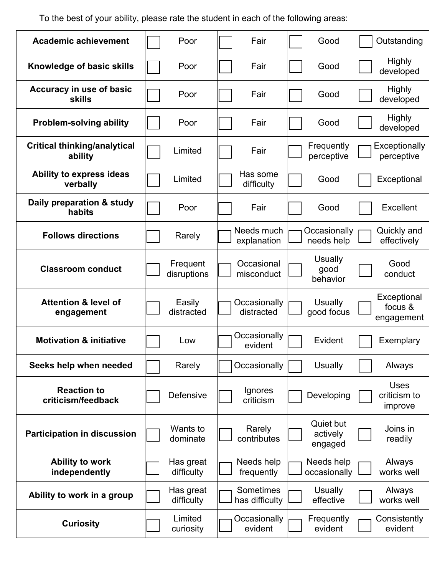To the best of your ability, please rate the student in each of the following areas:

| <b>Academic achievement</b>                    | Poor                    | Fair                        | Good                             | Outstanding                            |
|------------------------------------------------|-------------------------|-----------------------------|----------------------------------|----------------------------------------|
| Knowledge of basic skills                      | Poor                    | Fair                        | Good                             | <b>Highly</b><br>developed             |
| Accuracy in use of basic<br><b>skills</b>      | Poor                    | Fair                        | Good                             | <b>Highly</b><br>developed             |
| <b>Problem-solving ability</b>                 | Poor                    | Fair                        | Good                             | <b>Highly</b><br>developed             |
| <b>Critical thinking/analytical</b><br>ability | Limited                 | Fair                        | Frequently<br>perceptive         | Exceptionally<br>perceptive            |
| Ability to express ideas<br>verbally           | Limited                 | Has some<br>difficulty      | Good                             | Exceptional                            |
| Daily preparation & study<br>habits            | Poor                    | Fair                        | Good                             | <b>Excellent</b>                       |
| <b>Follows directions</b>                      | Rarely                  | Needs much<br>explanation   | Occasionally<br>needs help       | Quickly and<br>effectively             |
| <b>Classroom conduct</b>                       | Frequent<br>disruptions | Occasional<br>misconduct    | Usually<br>good<br>behavior      | Good<br>conduct                        |
| <b>Attention &amp; level of</b><br>engagement  | Easily<br>distracted    | Occasionally<br>distracted  | <b>Usually</b><br>good focus     | Exceptional<br>focus &<br>engagement   |
| <b>Motivation &amp; initiative</b>             | Low                     | Occasionally<br>evident     | Evident                          | Exemplary                              |
| Seeks help when needed                         | Rarely                  | Occasionally                | <b>Usually</b>                   | Always                                 |
| <b>Reaction to</b><br>criticism/feedback       | Defensive               | Ignores<br>criticism        | Developing                       | <b>Uses</b><br>criticism to<br>improve |
| <b>Participation in discussion</b>             | Wants to<br>dominate    | Rarely<br>contributes       | Quiet but<br>actively<br>engaged | Joins in<br>readily                    |
| <b>Ability to work</b><br>independently        | Has great<br>difficulty | Needs help<br>frequently    | Needs help<br>occasionally       | Always<br>works well                   |
| Ability to work in a group                     | Has great<br>difficulty | Sometimes<br>has difficulty | <b>Usually</b><br>effective      | Always<br>works well                   |
| <b>Curiosity</b>                               | Limited<br>curiosity    | Occasionally<br>evident     | Frequently<br>evident            | Consistently<br>evident                |